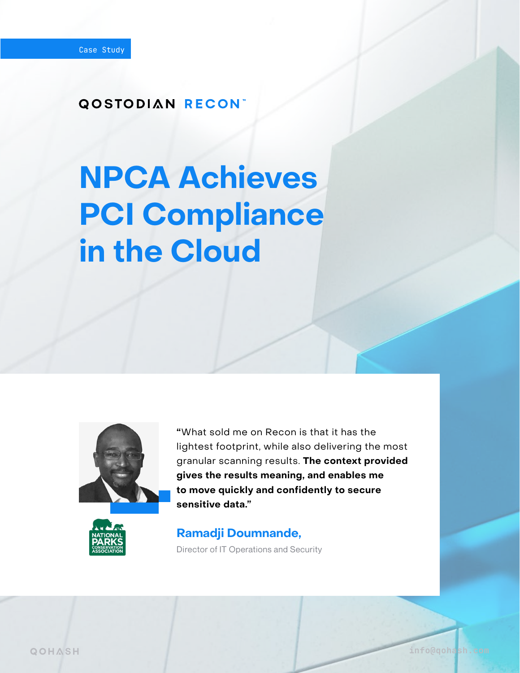#### **QOSTODIAN RECONT**

# **NPCA Achieves PCI Compliance in the Cloud**



**"**What sold me on Recon is that it has the lightest footprint, while also delivering the most granular scanning results. **The context provided gives the results meaning, and enables me to move quickly and confidently to secure sensitive data."** 

[info@qohash.com](mailto:info%40qohash.com?subject=)



#### **Ramadji Doumnande,**

Director of IT Operations and Security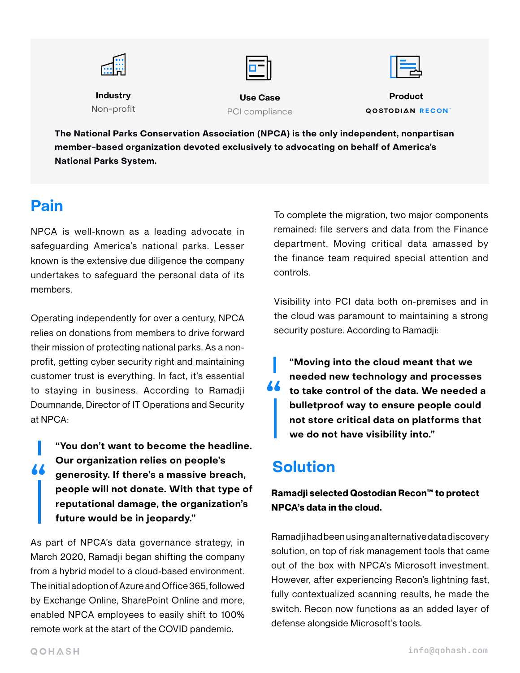| Fee e<br>para n<br>的部 |                 | ᆗ                       |
|-----------------------|-----------------|-------------------------|
| <b>Industry</b>       | <b>Use Case</b> | <b>Product</b>          |
| Non-profit            | PCI compliance  | <b>QOSTODIAN RECONT</b> |

**The National Parks Conservation Association (NPCA) is the only independent, nonpartisan member-based organization devoted exclusively to advocating on behalf of America's National Parks System.** 

## **Pain**

NPCA is well-known as a leading advocate in safeguarding America's national parks. Lesser known is the extensive due diligence the company undertakes to safeguard the personal data of its members.

Operating independently for over a century, NPCA relies on donations from members to drive forward their mission of protecting national parks. As a nonprofit, getting cyber security right and maintaining customer trust is everything. In fact, it's essential to staying in business. According to Ramadji Doumnande, Director of IT Operations and Security at NPCA:

**" "You don't want to become the headline. Our organization relies on people's generosity. If there's a massive breach, people will not donate. With that type of reputational damage, the organization's future would be in jeopardy."**

As part of NPCA's data governance strategy, in March 2020, Ramadji began shifting the company from a hybrid model to a cloud-based environment. The initial adoption of Azure and Office 365, followed by Exchange Online, SharePoint Online and more, enabled NPCA employees to easily shift to 100% remote work at the start of the COVID pandemic.

To complete the migration, two major components remained: file servers and data from the Finance department. Moving critical data amassed by the finance team required special attention and controls.

Visibility into PCI data both on-premises and in the cloud was paramount to maintaining a strong security posture. According to Ramadji:

**"Moving into the cloud meant that we needed new technology and processes to take control of the data. We needed a bulletproof way to ensure people could not store critical data on platforms that we do not have visibility into." "**

# **Solution**

**Ramadji selected Qostodian Recon™ to protect NPCA's data in the cloud.**

Ramadji had been using an alternative data discovery solution, on top of risk management tools that came out of the box with NPCA's Microsoft investment. However, after experiencing Recon's lightning fast, fully contextualized scanning results, he made the switch. Recon now functions as an added layer of defense alongside Microsoft's tools.